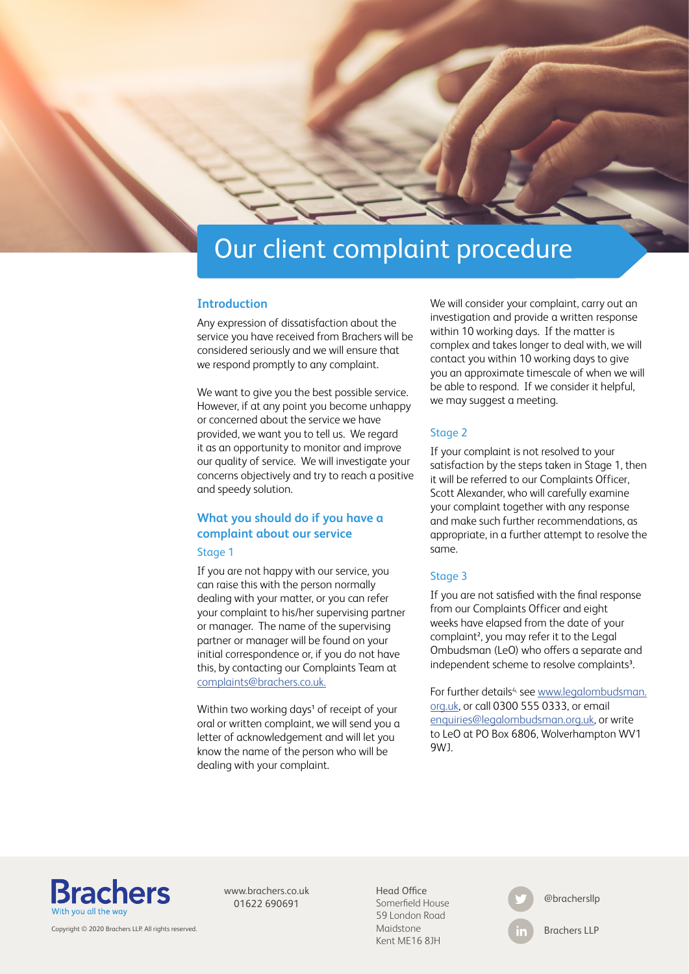## Our client complaint procedure

#### **Introduction**

Any expression of dissatisfaction about the service you have received from Brachers will be considered seriously and we will ensure that we respond promptly to any complaint.

We want to give you the best possible service. However, if at any point you become unhappy or concerned about the service we have provided, we want you to tell us. We regard it as an opportunity to monitor and improve our quality of service. We will investigate your concerns objectively and try to reach a positive and speedy solution.

### **What you should do if you have a complaint about our service**

#### Stage 1

If you are not happy with our service, you can raise this with the person normally dealing with your matter, or you can refer your complaint to his/her supervising partner or manager. The name of the supervising partner or manager will be found on your initial correspondence or, if you do not have this, by contacting our Complaints Team at complaints@brachers.co.uk.

Within two working days<sup>1</sup> of receipt of your oral or written complaint, we will send you a letter of acknowledgement and will let you know the name of the person who will be dealing with your complaint.

We will consider your complaint, carry out an investigation and provide a written response within 10 working days. If the matter is complex and takes longer to deal with, we will contact you within 10 working days to give you an approximate timescale of when we will be able to respond. If we consider it helpful, we may suggest a meeting.

#### Stage 2

If your complaint is not resolved to your satisfaction by the steps taken in Stage 1, then it will be referred to our Complaints Officer, Scott Alexander, who will carefully examine your complaint together with any response and make such further recommendations, as appropriate, in a further attempt to resolve the same.

#### Stage 3

If you are not satisfied with the final response from our Complaints Officer and eight weeks have elapsed from the date of your complaint<sup>2</sup>, you may refer it to the Legal Ombudsman (LeO) who offers a separate and independent scheme to resolve complaints<sup>3</sup>.

For further details<sup>4,</sup> see www.legalombudsman. org.uk, or call 0300 555 0333, or email enquiries@legalombudsman.org.uk, or write to LeO at PO Box 6806, Wolverhampton WV1 9WJ.



www.brachers.co.uk 01622 690691

Head Office Somerfield House 59 London Road Maidstone Kent ME16 8JH



Copyright © 2020 Brachers LLP. All rights reserved.